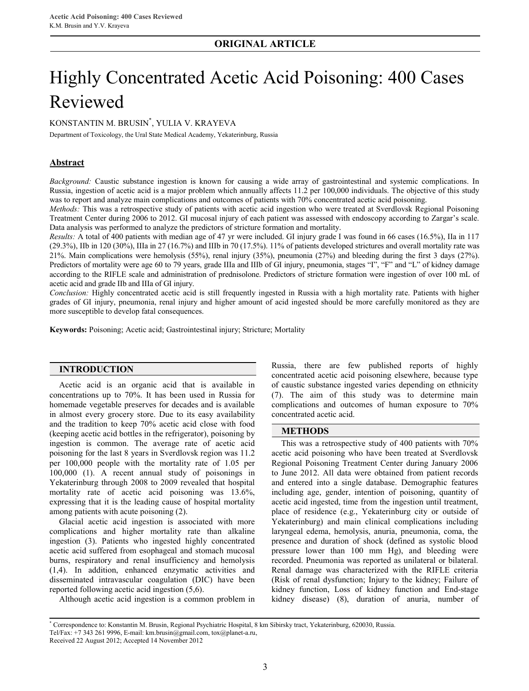# **ORIGINAL ARTICLE**

# Highly Concentrated Acetic Acid Poisoning: 400 Cases Reviewed

KONSTANTIN M. BRUSIN\* , YULIA V. KRAYEVA

Department of Toxicology, the Ural State Medical Academy, Yekaterinburg, Russia

## **Abstract**

*Background:* Caustic substance ingestion is known for causing a wide array of gastrointestinal and systemic complications. In Russia, ingestion of acetic acid is a major problem which annually affects 11.2 per 100,000 individuals. The objective of this study was to report and analyze main complications and outcomes of patients with 70% concentrated acetic acid poisoning.

*Methods:* This was a retrospective study of patients with acetic acid ingestion who were treated at Sverdlovsk Regional Poisoning Treatment Center during 2006 to 2012. GI mucosal injury of each patient was assessed with endoscopy according to Zargar's scale. Data analysis was performed to analyze the predictors of stricture formation and mortality.

*Results:* A total of 400 patients with median age of 47 yr were included. GI injury grade I was found in 66 cases (16.5%), IIa in 117 (29.3%), IIb in 120 (30%), IIIa in 27 (16.7%) and IIIb in 70 (17.5%). 11% of patients developed strictures and overall mortality rate was 21%. Main complications were hemolysis (55%), renal injury (35%), pneumonia (27%) and bleeding during the first 3 days (27%). Predictors of mortality were age 60 to 79 years, grade IIIa and IIIb of GI injury, pneumonia, stages "I", "F" and "L" of kidney damage according to the RIFLE scale and administration of prednisolone. Predictors of stricture formation were ingestion of over 100 mL of acetic acid and grade IIb and IIIa of GI injury.

*Conclusion:* Highly concentrated acetic acid is still frequently ingested in Russia with a high mortality rate. Patients with higher grades of GI injury, pneumonia, renal injury and higher amount of acid ingested should be more carefully monitored as they are more susceptible to develop fatal consequences.

**Keywords:** Poisoning; Acetic acid; Gastrointestinal injury; Stricture; Mortality

## **INTRODUCTION**

Acetic acid is an organic acid that is available in concentrations up to 70%. It has been used in Russia for homemade vegetable preserves for decades and is available in almost every grocery store. Due to its easy availability and the tradition to keep 70% acetic acid close with food (keeping acetic acid bottles in the refrigerator), poisoning by ingestion is common. The average rate of acetic acid poisoning for the last 8 years in Sverdlovsk region was 11.2 per 100,000 people with the mortality rate of 1.05 per 100,000 (1). A recent annual study of poisonings in Yekaterinburg through 2008 to 2009 revealed that hospital mortality rate of acetic acid poisoning was 13.6%, expressing that it is the leading cause of hospital mortality among patients with acute poisoning (2).

Glacial acetic acid ingestion is associated with more complications and higher mortality rate than alkaline ingestion (3). Patients who ingested highly concentrated acetic acid suffered from esophageal and stomach mucosal burns, respiratory and renal insufficiency and hemolysis (1,4). In addition, enhanced enzymatic activities and disseminated intravascular coagulation (DIC) have been reported following acetic acid ingestion (5,6).

Although acetic acid ingestion is a common problem in

Russia, there are few published reports of highly concentrated acetic acid poisoning elsewhere, because type of caustic substance ingested varies depending on ethnicity (7). The aim of this study was to determine main complications and outcomes of human exposure to 70% concentrated acetic acid.

#### **METHODS**

This was a retrospective study of 400 patients with 70% acetic acid poisoning who have been treated at Sverdlovsk Regional Poisoning Treatment Center during January 2006 to June 2012. All data were obtained from patient records and entered into a single database. Demographic features including age, gender, intention of poisoning, quantity of acetic acid ingested, time from the ingestion until treatment, place of residence (e.g., Yekaterinburg city or outside of Yekaterinburg) and main clinical complications including laryngeal edema, hemolysis, anuria, pneumonia, coma, the presence and duration of shock (defined as systolic blood pressure lower than 100 mm Hg), and bleeding were recorded. Pneumonia was reported as unilateral or bilateral. Renal damage was characterized with the RIFLE criteria (Risk of renal dysfunction; Injury to the kidney; Failure of kidney function, Loss of kidney function and End-stage kidney disease) (8), duration of anuria, number of

<sup>\*</sup> Correspondence to: Konstantin M. Brusin, Regional Psychiatric Hospital, 8 km Sibirsky tract, Yekaterinburg, 620030, Russia. Tel/Fax: +7 343 261 9996, E-mail: km.brusin@gmail.com, tox@planet-a.ru,

Received 22 August 2012; Accepted 14 November 2012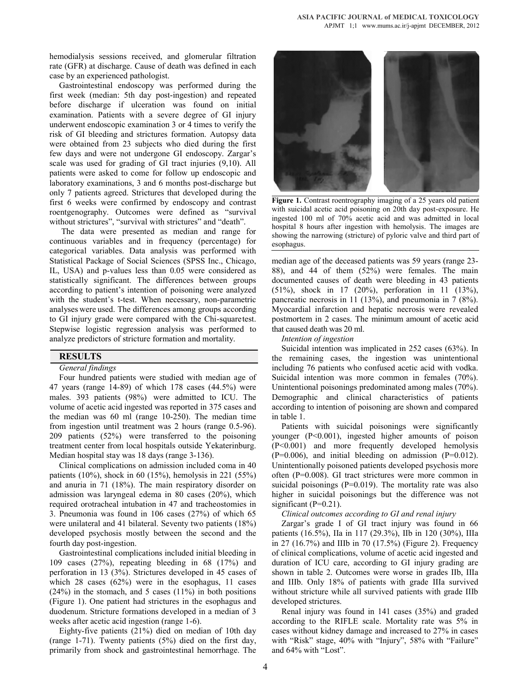hemodialysis sessions received, and glomerular filtration rate (GFR) at discharge. Cause of death was defined in each case by an experienced pathologist.

Gastrointestinal endoscopy was performed during the first week (median: 5th day post-ingestion) and repeated before discharge if ulceration was found on initial examination. Patients with a severe degree of GI injury underwent endoscopic examination 3 or 4 times to verify the risk of GI bleeding and strictures formation. Autopsy data were obtained from 23 subjects who died during the first few days and were not undergone GI endoscopy. Zargar's scale was used for grading of GI tract injuries (9,10). All patients were asked to come for follow up endoscopic and laboratory examinations, 3 and 6 months post-discharge but only 7 patients agreed. Strictures that developed during the first 6 weeks were confirmed by endoscopy and contrast roentgenography. Outcomes were defined as "survival without strictures", "survival with strictures" and "death".

The data were presented as median and range for continuous variables and in frequency (percentage) for categorical variables. Data analysis was performed with Statistical Package of Social Sciences (SPSS Inc., Chicago, IL, USA) and p-values less than 0.05 were considered as statistically significant. The differences between groups according to patient's intention of poisoning were analyzed with the student's t-test. When necessary, non-parametric analyses were used. The differences among groups according to GI injury grade were compared with the Chi-squaretest. Stepwise logistic regression analysis was performed to analyze predictors of stricture formation and mortality.

## **RESULTS**

#### *General findings*

Four hundred patients were studied with median age of 47 years (range 14-89) of which 178 cases (44.5%) were males. 393 patients (98%) were admitted to ICU. The volume of acetic acid ingested was reported in 375 cases and the median was 60 ml (range 10-250). The median time from ingestion until treatment was 2 hours (range 0.5-96). 209 patients (52%) were transferred to the poisoning treatment center from local hospitals outside Yekaterinburg. Median hospital stay was 18 days (range 3-136).

Clinical complications on admission included coma in 40 patients (10%), shock in 60 (15%), hemolysis in 221 (55%) and anuria in 71 (18%). The main respiratory disorder on admission was laryngeal edema in 80 cases (20%), which required orotracheal intubation in 47 and tracheostomies in 3. Pneumonia was found in 106 cases (27%) of which 65 were unilateral and 41 bilateral. Seventy two patients (18%) developed psychosis mostly between the second and the fourth day post-ingestion.

Gastrointestinal complications included initial bleeding in 109 cases (27%), repeating bleeding in 68 (17%) and perforation in 13 (3%). Strictures developed in 45 cases of which 28 cases (62%) were in the esophagus, 11 cases  $(24%)$  in the stomach, and 5 cases  $(11%)$  in both positions (Figure 1). One patient had strictures in the esophagus and duodenum. Stricture formations developed in a median of 3 weeks after acetic acid ingestion (range 1-6).

Eighty-five patients (21%) died on median of 10th day (range 1-71). Twenty patients (5%) died on the first day, primarily from shock and gastrointestinal hemorrhage. The



Figure 1. Contrast roentrography imaging of a 25 years old patient with suicidal acetic acid poisoning on 20th day post-exposure. He ingested 100 ml of 70% acetic acid and was admitted in local hospital 8 hours after ingestion with hemolysis. The images are showing the narrowing (stricture) of pyloric valve and third part of esophagus.

median age of the deceased patients was 59 years (range 23- 88), and 44 of them (52%) were females. The main documented causes of death were bleeding in 43 patients (51%), shock in 17 (20%), perforation in 11 (13%), pancreatic necrosis in 11 (13%), and pneumonia in 7 (8%). Myocardial infarction and hepatic necrosis were revealed postmortem in 2 cases. The minimum amount of acetic acid that caused death was 20 ml.

#### *Intention of ingestion*

Suicidal intention was implicated in 252 cases (63%). In the remaining cases, the ingestion was unintentional including 76 patients who confused acetic acid with vodka. Suicidal intention was more common in females (70%). Unintentional poisonings predominated among males (70%). Demographic and clinical characteristics of patients according to intention of poisoning are shown and compared in table 1.

Patients with suicidal poisonings were significantly younger (P<0.001), ingested higher amounts of poison (P<0.001) and more frequently developed hemolysis  $(P=0.006)$ , and initial bleeding on admission  $(P=0.012)$ . Unintentionally poisoned patients developed psychosis more often (P=0.008). GI tract strictures were more common in suicidal poisonings  $(P=0.019)$ . The mortality rate was also higher in suicidal poisonings but the difference was not significant (P=0.21).

*Clinical outcomes according to GI and renal injury*

Zargar's grade I of GI tract injury was found in 66 patients (16.5%), IIa in 117 (29.3%), IIb in 120 (30%), IIIa in 27 (16.7%) and IIIb in 70 (17.5%) (Figure 2). Frequency of clinical complications, volume of acetic acid ingested and duration of ICU care, according to GI injury grading are shown in table 2. Outcomes were worse in grades IIb, IIIa and IIIb. Only 18% of patients with grade IIIa survived without stricture while all survived patients with grade IIIb developed strictures.

Renal injury was found in 141 cases (35%) and graded according to the RIFLE scale. Mortality rate was 5% in cases without kidney damage and increased to 27% in cases with "Risk" stage, 40% with "Injury", 58% with "Failure" and 64% with "Lost".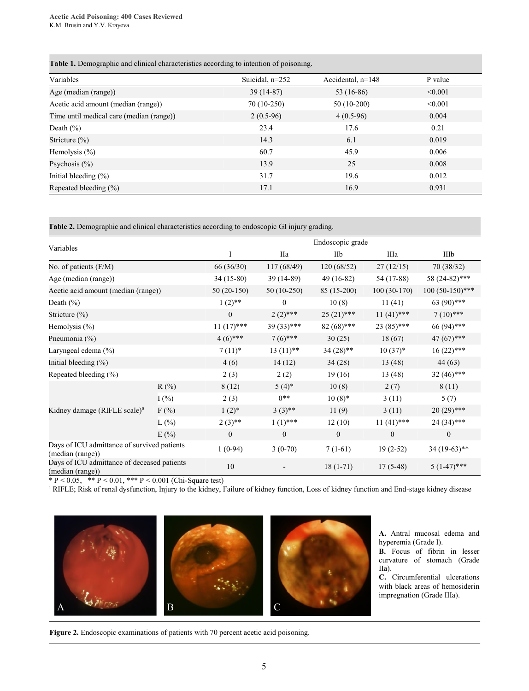**Table 1.** Demographic and clinical characteristics according to intention of poisoning.

| Variables                                | Suicidal, $n=252$ | Accidental, n=148 | P value |
|------------------------------------------|-------------------|-------------------|---------|
| Age (median (range))                     | $39(14-87)$       | 53 $(16-86)$      | < 0.001 |
| Acetic acid amount (median (range))      | 70 (10-250)       | $50(10-200)$      | < 0.001 |
| Time until medical care (median (range)) | $2(0.5-96)$       | $4(0.5-96)$       | 0.004   |
| Death $(\% )$                            | 23.4              | 17.6              | 0.21    |
| Stricture $(\% )$                        | 14.3              | 6.1               | 0.019   |
| Hemolysis $(\% )$                        | 60.7              | 45.9              | 0.006   |
| Psychosis $(\% )$                        | 13.9              | 25                | 0.008   |
| Initial bleeding $(\% )$                 | 31.7              | 19.6              | 0.012   |
| Repeated bleeding $(\% )$                | 17.1              | 16.9              | 0.931   |

**Table 2.** Demographic and clinical characteristics according to endoscopic GI injury grading.

| Variables                                                       |         |                  | Endoscopic grade |                  |                  |                   |  |  |
|-----------------------------------------------------------------|---------|------------------|------------------|------------------|------------------|-------------------|--|--|
|                                                                 |         | I                | IIa              | IIb              | IIIa             | IIIb              |  |  |
| No. of patients $(F/M)$                                         |         | 66 (36/30)       | 117 (68/49)      | 120 (68/52)      | 27(12/15)        | 70 (38/32)        |  |  |
| Age (median (range))                                            |         | 34 (15-80)       | 39 (14-89)       | $49(16-82)$      | 54 (17-88)       | 58 (24-82)***     |  |  |
| Acetic acid amount (median (range))                             |         | $50(20-150)$     | 50 (10-250)      | 85 (15-200)      | $100(30-170)$    | $100(50-150)$ *** |  |  |
| Death (%)                                                       |         | $1(2)$ **        | $\theta$         | 10(8)            | 11(41)           | 63 (90)***        |  |  |
| Stricture (%)                                                   |         | $\mathbf{0}$     | $2(2)$ ***       | $25(21)$ ***     | $11(41)$ ***     | $7(10)$ ***       |  |  |
| Hemolysis (%)                                                   |         | $11(17)$ ***     | 39 (33)***       | 82 (68)***       | $23(85)$ ***     | 66 (94)***        |  |  |
| Pneumonia (%)                                                   |         | $4(6)$ ***       | $7(6)$ ***       | 30(25)           | 18(67)           | $47(67)$ ***      |  |  |
| Laryngeal edema (%)                                             |         | $7(11)*$         | $13(11)$ **      | $34(28)$ **      | $10(37)*$        | $16(22)$ ***      |  |  |
| Initial bleeding $(\% )$                                        |         | 4(6)             | 14(12)           | 34(28)           | 13(48)           | 44 (63)           |  |  |
| Repeated bleeding (%)                                           |         | 2(3)             | 2(2)             | 19(16)           | 13 (48)          | $32(46)$ ***      |  |  |
|                                                                 | $R(\%)$ | 8(12)            | $5(4)$ *         | 10(8)            | 2(7)             | 8(11)             |  |  |
|                                                                 | $I(\%)$ | 2(3)             | $0***$           | $10(8)*$         | 3(11)            | 5(7)              |  |  |
| Kidney damage (RIFLE scale) <sup>a</sup>                        | $F(\%)$ | $1(2)^*$         | $3(3)$ **        | 11(9)            | 3(11)            | $20(29)$ ***      |  |  |
|                                                                 | $L(\%)$ | $2(3)$ **        | $1(1)$ ***       | 12(10)           | $11(41)$ ***     | $24(34)$ ***      |  |  |
|                                                                 | E(%)    | $\boldsymbol{0}$ | $\mathbf{0}$     | $\boldsymbol{0}$ | $\boldsymbol{0}$ | $\mathbf{0}$      |  |  |
| Days of ICU admittance of survived patients<br>(median (range)) |         | $1(0-94)$        | $3(0-70)$        | $7(1-61)$        | $19(2-52)$       | $34(19-63)$ **    |  |  |
| Days of ICU admittance of deceased patients<br>(median (range)) |         | 10               |                  | $18(1-71)$       | $17(5-48)$       | $5(1-47)$ ***     |  |  |

\*  $P < 0.05$ , \*\*  $P < 0.01$ , \*\*\*  $P < 0.001$  (Chi-Square test)

<sup>a</sup> RIFLE; Risk of renal dysfunction, Injury to the kidney, Failure of kidney function, Loss of kidney function and End-stage kidney disease



**A.** Antral mucosal edema and hyperemia (Grade I).

**B.** Focus of fibrin in lesser curvature of stomach (Grade IIa).

**C.** Circumferential ulcerations with black areas of hemosiderin impregnation (Grade IIIa).

**Figure 2.** Endoscopic examinations of patients with 70 percent acetic acid poisoning.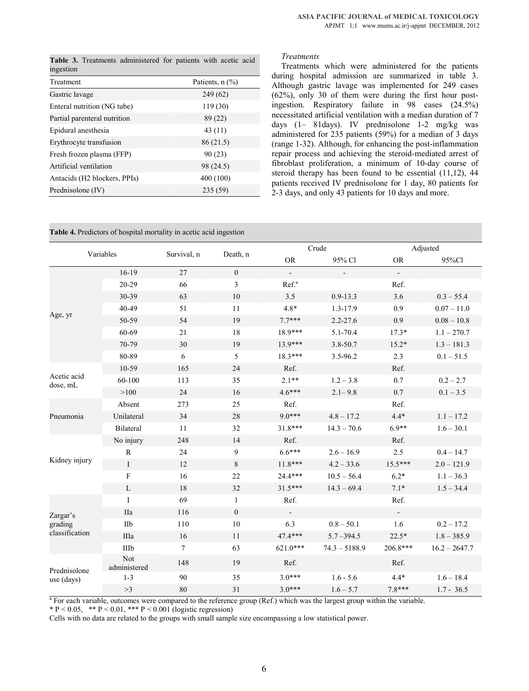**Table 3.** Treatments administered for patients with acetic acid

| ingestion                                             |                      |
|-------------------------------------------------------|----------------------|
| Treatment                                             | Patients, $n$ $(\%)$ |
| Gastric lavage                                        | 249 (62)             |
| Enteral nutrition (NG tube)                           | 119 (30)             |
| Partial parenteral nutrition                          | 89 (22)              |
| Epidural anesthesia                                   | 43(11)               |
| Erythrocyte transfusion                               | 86 (21.5)            |
| Fresh frozen plasma (FFP)                             | 90(23)               |
| Artificial ventilation                                | 98 (24.5)            |
| Antacids (H <sub>2</sub> blockers, PPI <sub>s</sub> ) | 400 (100)            |
| Prednisolone (IV)                                     | 235 (59)             |

*Treatments*

Treatments which were administered for the patients during hospital admission are summarized in table 3. Although gastric lavage was implemented for 249 cases (62%), only 30 of them were during the first hour postingestion. Respiratory failure in 98 cases (24.5%) necessitated artificial ventilation with a median duration of 7 days (1– 81days). IV prednisolone 1-2 mg/kg was administered for 235 patients (59%) for a median of 3 days (range 1-32). Although, for enhancing the post-inflammation repair process and achieving the steroid-mediated arrest of fibroblast proliferation, a minimum of 10-day course of steroid therapy has been found to be essential (11,12), 44 patients received IV prednisolone for 1 day, 80 patients for 2-3 days, and only 43 patients for 10 days and more.

**Table 4.** Predictors of hospital mortality in acetic acid ingestion

| Variables                  |                     | Survival, n | Death, n       | Crude             |                 | Adjusted                    |                 |
|----------------------------|---------------------|-------------|----------------|-------------------|-----------------|-----------------------------|-----------------|
|                            |                     |             |                | <b>OR</b>         | 95% Cl          | <b>OR</b>                   | 95%Cl           |
|                            | $16-19$             | 27          | $\overline{0}$ | $\mathbb{Z}^+$    | $\blacksquare$  | $\mathcal{L}^{\mathcal{A}}$ |                 |
|                            | $20 - 29$           | 66          | $\overline{3}$ | Ref. <sup>a</sup> |                 | Ref.                        |                 |
|                            | 30-39               | 63          | 10             | 3.5               | $0.9 - 13.3$    | 3.6                         | $0.3 - 55.4$    |
|                            | 40-49               | 51          | 11             | $4.8*$            | 1.3-17.9        | 0.9                         | $0.07 - 11.0$   |
| Age, yr                    | 50-59               | 54          | 19             | $7.7***$          | $2.2 - 27.6$    | 0.9                         | $0.08 - 10.8$   |
|                            | 60-69               | 21          | 18             | 18.9***           | 5.1-70.4        | $17.3*$                     | $1.1 - 270.7$   |
|                            | 70-79               | 30          | 19             | $13.9***$         | 3.8-50.7        | $15.2*$                     | $1.3 - 181.3$   |
|                            | 80-89               | 6           | 5              | 18.3***           | 3.5-96.2        | 2.3                         | $0.1 - 51.5$    |
|                            | 10-59               | 165         | 24             | Ref.              |                 | Ref.                        |                 |
| Acetic acid<br>dose, mL    | 60-100              | 113         | 35             | $2.1**$           | $1.2 - 3.8$     | 0.7                         | $0.2 - 2.7$     |
|                            | >100                | 24          | 16             | $4.6***$          | $2.1 - 9.8$     | 0.7                         | $0.1 - 3.5$     |
|                            | Absent              | 273         | 25             | Ref.              |                 | Ref.                        |                 |
| Pneumonia                  | Unilateral          | 34          | 28             | $9.0***$          | $4.8 - 17.2$    | $4.4*$                      | $1.1 - 17.2$    |
|                            | Bilateral           | 11          | 32             | 31.8***           | $14.3 - 70.6$   | $6.9**$                     | $1.6 - 30.1$    |
|                            | No injury           | 248         | 14             | Ref.              |                 | Ref.                        |                 |
|                            | $\mathbb{R}$        | 24          | 9              | $6.6***$          | $2.6 - 16.9$    | 2.5                         | $0.4 - 14.7$    |
| Kidney injury              | $\mathbf I$         | 12          | $\,8\,$        | $11.8***$         | $4.2 - 33.6$    | 15.5***                     | $2.0 - 121.9$   |
|                            | $\mathbf{F}$        | 16          | 22             | $24.4***$         | $10.5 - 56.4$   | $6.2*$                      | $1.1 - 36.3$    |
|                            | L                   | 18          | 32             | $31.5***$         | $14.3 - 69.4$   | $7.1*$                      | $1.5 - 34.4$    |
|                            | L                   | 69          | $\mathbf{1}$   | Ref.              |                 | Ref.                        |                 |
| Zargar's                   | <b>IIa</b>          | 116         | $\mathbf{0}$   |                   |                 | $\mathbf{r}$                |                 |
| grading<br>classification  | IIb                 | 110         | 10             | 6.3               | $0.8 - 50.1$    | 1.6                         | $0.2 - 17.2$    |
|                            | IIIa                | 16          | 11             | 47.4***           | $5.7 - 394.5$   | $22.5*$                     | $1.8 - 385.9$   |
|                            | IIIb                | $\tau$      | 63             | 621.0***          | $74.3 - 5188.9$ | 206.8***                    | $16.2 - 2647.7$ |
| Prednisolone<br>use (days) | Not<br>administered | 148         | 19             | Ref.              |                 | Ref.                        |                 |
|                            | $1 - 3$             | 90          | 35             | $3.0***$          | $1.6 - 5.6$     | $4.4*$                      | $1.6 - 18.4$    |
|                            | >3                  | 80          | 31             | $3.0***$          | $1.6 - 5.7$     | $7.8***$                    | $1.7 - 36.5$    |

<sup>a</sup> For each variable, outcomes were compared to the reference group (Ref.) which was the largest group within the variable.

\* P < 0.05, \*\* P < 0.01, \*\*\* P < 0.001 (logistic regression)

Cells with no data are related to the groups with small sample size encompassing a low statistical power.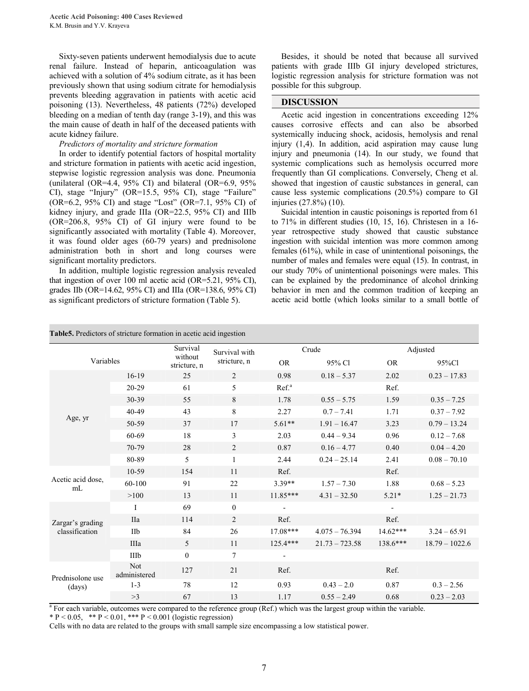Sixty-seven patients underwent hemodialysis due to acute renal failure. Instead of heparin, anticoagulation was achieved with a solution of 4% sodium citrate, as it has been previously shown that using sodium citrate for hemodialysis prevents bleeding aggravation in patients with acetic acid poisoning (13). Nevertheless, 48 patients (72%) developed bleeding on a median of tenth day (range 3-19), and this was the main cause of death in half of the deceased patients with acute kidney failure.

#### *Predictors of mortality and stricture formation*

In order to identify potential factors of hospital mortality and stricture formation in patients with acetic acid ingestion, stepwise logistic regression analysis was done. Pneumonia (unilateral (OR=4.4,  $95\%$  CI) and bilateral (OR=6.9,  $95\%$ CI), stage "Injury" (OR=15.5, 95% CI), stage "Failure" (OR=6.2, 95% CI) and stage "Lost" (OR=7.1, 95% CI) of kidney injury, and grade IIIa (OR=22.5, 95% CI) and IIIb (OR=206.8, 95% CI) of GI injury were found to be significantly associated with mortality (Table 4). Moreover, it was found older ages (60-79 years) and prednisolone administration both in short and long courses were significant mortality predictors.

In addition, multiple logistic regression analysis revealed that ingestion of over 100 ml acetic acid (OR=5.21, 95% CI), grades IIb (OR=14.62, 95% CI) and IIIa (OR=138.6, 95% CI) as significant predictors of stricture formation (Table 5).

Besides, it should be noted that because all survived patients with grade IIIb GI injury developed strictures, logistic regression analysis for stricture formation was not possible for this subgroup.

## **DISCUSSION**

Acetic acid ingestion in concentrations exceeding 12% causes corrosive effects and can also be absorbed systemically inducing shock, acidosis, hemolysis and renal injury (1,4). In addition, acid aspiration may cause lung injury and pneumonia (14). In our study, we found that systemic complications such as hemolysis occurred more frequently than GI complications. Conversely, Cheng et al. showed that ingestion of caustic substances in general, can cause less systemic complications (20.5%) compare to GI injuries (27.8%) (10).

Suicidal intention in caustic poisonings is reported from 61 to 71% in different studies (10, 15, 16). Christesen in a 16 year retrospective study showed that caustic substance ingestion with suicidal intention was more common among females (61%), while in case of unintentional poisonings, the number of males and females were equal (15). In contrast, in our study 70% of unintentional poisonings were males. This can be explained by the predominance of alcohol drinking behavior in men and the common tradition of keeping an acetic acid bottle (which looks similar to a small bottle of

|  |  |  |  |  | <b>Table 5.</b> Predictors of stricture formation in acetic acid ingestion |
|--|--|--|--|--|----------------------------------------------------------------------------|
|--|--|--|--|--|----------------------------------------------------------------------------|

| Variables                  |                            | Survival<br>without | Survival with<br>stricture, n | Crude                    |                  | Adjusted   |                  |
|----------------------------|----------------------------|---------------------|-------------------------------|--------------------------|------------------|------------|------------------|
|                            |                            | stricture, n        |                               | <b>OR</b>                | 95% Cl           | <b>OR</b>  | 95%Cl            |
|                            | $16-19$                    | 25                  | $\overline{c}$                | 0.98                     | $0.18 - 5.37$    | 2.02       | $0.23 - 17.83$   |
|                            | $20 - 29$                  | 61                  | 5                             | Ref. <sup>a</sup>        |                  | Ref.       |                  |
|                            | 30-39                      | 55                  | 8                             | 1.78                     | $0.55 - 5.75$    | 1.59       | $0.35 - 7.25$    |
|                            | 40-49                      | 43                  | 8                             | 2.27                     | $0.7 - 7.41$     | 1.71       | $0.37 - 7.92$    |
| Age, yr                    | 50-59                      | 37                  | 17                            | $5.61**$                 | $1.91 - 16.47$   | 3.23       | $0.79 - 13.24$   |
|                            | 60-69                      | 18                  | 3                             | 2.03                     | $0.44 - 9.34$    | 0.96       | $0.12 - 7.68$    |
|                            | 70-79                      | 28                  | $\overline{c}$                | 0.87                     | $0.16 - 4.77$    | 0.40       | $0.04 - 4.20$    |
|                            | 80-89                      | 5                   | $\mathbf{1}$                  | 2.44                     | $0.24 - 25.14$   | 2.41       | $0.08 - 70.10$   |
|                            | 10-59                      | 154                 | 11                            | Ref.                     |                  | Ref.       |                  |
| Acetic acid dose,<br>mL    | 60-100                     | 91                  | 22                            | $3.39**$                 | $1.57 - 7.30$    | 1.88       | $0.68 - 5.23$    |
|                            | >100                       | 13                  | 11                            | $11.85***$               | $4.31 - 32.50$   | $5.21*$    | $1.25 - 21.73$   |
|                            | I                          | 69                  | $\overline{0}$                |                          |                  |            |                  |
| Zargar's grading           | <b>IIa</b>                 | 114                 | 2                             | Ref.                     |                  | Ref.       |                  |
| classification             | IIb                        | 84                  | 26                            | $17.08***$               | $4.075 - 76.394$ | $14.62***$ | $3.24 - 65.91$   |
|                            | IIIa                       | 5                   | 11                            | $125.4***$               | $21.73 - 723.58$ | 138.6***   | $18.79 - 1022.6$ |
|                            | IIIb                       | $\overline{0}$      | 7                             | $\overline{\phantom{a}}$ |                  |            |                  |
| Prednisolone use<br>(days) | <b>Not</b><br>administered | 127                 | 21                            | Ref.                     |                  | Ref.       |                  |
|                            | $1 - 3$                    | 78                  | 12                            | 0.93                     | $0.43 - 2.0$     | 0.87       | $0.3 - 2.56$     |
|                            | >3                         | 67                  | 13                            | 1.17                     | $0.55 - 2.49$    | 0.68       | $0.23 - 2.03$    |

<sup>a</sup> For each variable, outcomes were compared to the reference group (Ref.) which was the largest group within the variable.

\* P < 0.05, \*\* P < 0.01, \*\*\* P < 0.001 (logistic regression)

Cells with no data are related to the groups with small sample size encompassing a low statistical power.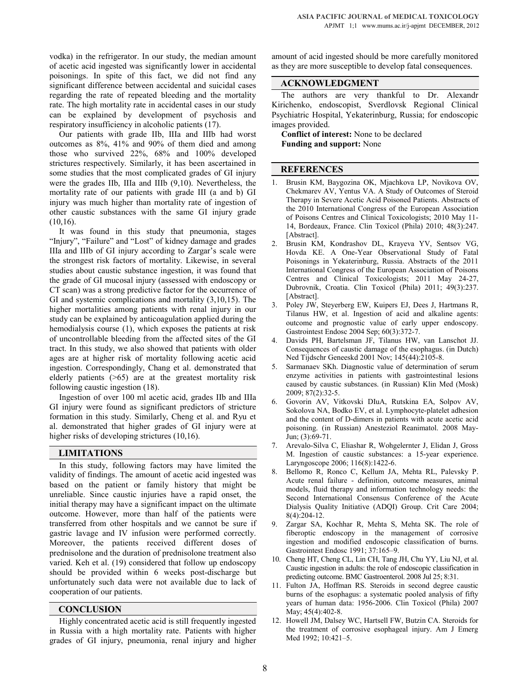vodka) in the refrigerator. In our study, the median amount of acetic acid ingested was significantly lower in accidental poisonings. In spite of this fact, we did not find any significant difference between accidental and suicidal cases regarding the rate of repeated bleeding and the mortality rate. The high mortality rate in accidental cases in our study can be explained by development of psychosis and respiratory insufficiency in alcoholic patients (17).

Our patients with grade IIb, IIIa and IIIb had worst outcomes as 8%, 41% and 90% of them died and among those who survived 22%, 68% and 100% developed strictures respectively. Similarly, it has been ascertained in some studies that the most complicated grades of GI injury were the grades IIb, IIIa and IIIb (9,10). Nevertheless, the mortality rate of our patients with grade III (a and b) GI injury was much higher than mortality rate of ingestion of other caustic substances with the same GI injury grade (10,16).

It was found in this study that pneumonia, stages "Injury", "Failure" and "Lost" of kidney damage and grades IIIa and IIIb of GI injury according to Zargar's scale were the strongest risk factors of mortality. Likewise, in several studies about caustic substance ingestion, it was found that the grade of GI mucosal injury (assessed with endoscopy or CT scan) was a strong predictive factor for the occurrence of GI and systemic complications and mortality (3,10,15). The higher mortalities among patients with renal injury in our study can be explained by anticoagulation applied during the hemodialysis course (1), which exposes the patients at risk of uncontrollable bleeding from the affected sites of the GI tract. In this study, we also showed that patients with older ages are at higher risk of mortality following acetic acid ingestion. Correspondingly, Chang et al. demonstrated that elderly patients (>65) are at the greatest mortality risk following caustic ingestion (18).

Ingestion of over 100 ml acetic acid, grades IIb and IIIa GI injury were found as significant predictors of stricture formation in this study. Similarly, Cheng et al. and Ryu et al. demonstrated that higher grades of GI injury were at higher risks of developing strictures (10,16).

# **LIMITATIONS**

In this study, following factors may have limited the validity of findings. The amount of acetic acid ingested was based on the patient or family history that might be unreliable. Since caustic injuries have a rapid onset, the initial therapy may have a significant impact on the ultimate outcome. However, more than half of the patients were transferred from other hospitals and we cannot be sure if gastric lavage and IV infusion were performed correctly. Moreover, the patients received different doses of prednisolone and the duration of prednisolone treatment also varied. Keh et al. (19) considered that follow up endoscopy should be provided within 6 weeks post-discharge but unfortunately such data were not available due to lack of cooperation of our patients.

## **CONCLUSION**

Highly concentrated acetic acid is still frequently ingested in Russia with a high mortality rate. Patients with higher grades of GI injury, pneumonia, renal injury and higher amount of acid ingested should be more carefully monitored as they are more susceptible to develop fatal consequences.

## **ACKNOWLEDGMENT**

The authors are very thankful to Dr. Alexandr Kirichenko, endoscopist, Sverdlovsk Regional Clinical Psychiatric Hospital, Yekaterinburg, Russia; for endoscopic images provided.

**Conflict of interest:** None to be declared **Funding and support:** None

## **REFERENCES**

- 1. Brusin KM, Baygozina OK, Mjachkova LP, Novikova OV, Chekmarev AV, Yentus VA. A Study of Outcomes of Steroid Therapy in Severe Acetic Acid Poisoned Patients. Abstracts of the 2010 International Congress of the European Association of Poisons Centres and Clinical Toxicologists; 2010 May 11- 14, Bordeaux, France. Clin Toxicol (Phila) 2010; 48(3):247. [Abstract].
- 2. Brusin KM, Kondrashov DL, Krayeva YV, Sentsov VG, Hovda KE. A One-Year Observational Study of Fatal Poisonings in Yekaterinburg, Russia. Abstracts of the 2011 International Congress of the European Association of Poisons Centres and Clinical Toxicologists; 2011 May 24-27, Dubrovnik, Croatia. Clin Toxicol (Phila) 2011; 49(3):237. [Abstract].
- 3. Poley JW, Steyerberg EW, Kuipers EJ, Dees J, Hartmans R, Tilanus HW, et al. Ingestion of acid and alkaline agents: outcome and prognostic value of early upper endoscopy. Gastrointest Endosc 2004 Sep; 60(3):372-7.
- 4. Davids PH, Bartelsman JF, Tilanus HW, van Lanschot JJ. Consequences of caustic damage of the esophagus. (in Dutch) Ned Tijdschr Geneeskd 2001 Nov; 145(44):2105-8.
- 5. Sarmanaev SKh. Diagnostic value of determination of serum enzyme activities in patients with gastrointestinal lesions caused by caustic substances. (in Russian) Klin Med (Mosk) 2009; 87(2):32-5.
- 6. Govorin AV, Vitkovski DIuA, Rutskina EA, Solpov AV, Sokolova NA, Bodko EV, et al. Lymphocyte-platelet adhesion and the content of D-dimers in patients with acute acetic acid poisoning. (in Russian) Anesteziol Reanimatol. 2008 May-Jun; (3):69-71.
- 7. Arevalo-Silva C, Eliashar R, Wohgelernter J, Elidan J, Gross M. Ingestion of caustic substances: a 15-year experience. Laryngoscope 2006; 116(8):1422-6.
- 8. Bellomo R, Ronco C, Kellum JA, Mehta RL, Palevsky P. Acute renal failure - definition, outcome measures, animal models, fluid therapy and information technology needs: the Second International Consensus Conference of the Acute Dialysis Quality Initiative (ADQI) Group. Crit Care 2004; 8(4):204-12.
- 9. Zargar SA, Kochhar R, Mehta S, Mehta SK. The role of fiberoptic endoscopy in the management of corrosive ingestion and modified endoscopic classification of burns. Gastrointest Endosc 1991; 37:165–9.
- 10. Cheng HT, Cheng CL, Lin CH, Tang JH, Chu YY, Liu NJ, et al. Caustic ingestion in adults: the role of endoscopic classification in predicting outcome. BMC Gastroenterol. 2008 Jul 25; 8:31.
- 11. Fulton JA, Hoffman RS. Steroids in second degree caustic burns of the esophagus: a systematic pooled analysis of fifty years of human data: 1956-2006. Clin Toxicol (Phila) 2007 May; 45(4):402-8.
- 12. Howell JM, Dalsey WC, Hartsell FW, Butzin CA. Steroids for the treatment of corrosive esophageal injury. Am J Emerg Med 1992; 10:421–5.